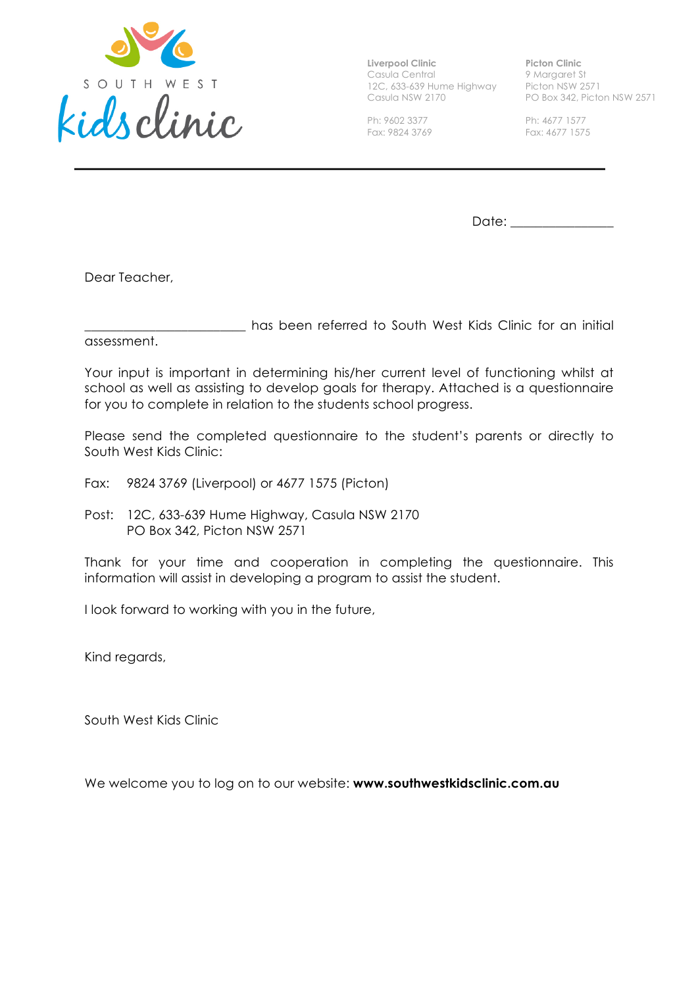

**Liverpool Clinic** Casula Central 12C, 633-639 Hume Highway Casula NSW 2170

Ph: 9602 3377 Fax: 9824 3769 **Picton Clinic** 9 Margaret St Picton NSW 2571 PO Box 342, Picton NSW 2571

Ph: 4677 1577 Fax: 4677 1575

Date: \_\_\_\_\_\_\_\_\_\_\_\_\_\_\_\_

Dear Teacher,

\_\_\_\_\_\_\_\_\_\_\_\_\_\_\_\_\_\_\_\_\_\_\_\_\_ has been referred to South West Kids Clinic for an initial assessment.

Your input is important in determining his/her current level of functioning whilst at school as well as assisting to develop goals for therapy. Attached is a questionnaire for you to complete in relation to the students school progress.

Please send the completed questionnaire to the student's parents or directly to South West Kids Clinic:

Fax: 9824 3769 (Liverpool) or 4677 1575 (Picton)

Post: 12C, 633-639 Hume Highway, Casula NSW 2170 PO Box 342, Picton NSW 2571

Thank for your time and cooperation in completing the questionnaire. This information will assist in developing a program to assist the student.

I look forward to working with you in the future,

Kind regards,

South West Kids Clinic

We welcome you to log on to our website: **www.southwestkidsclinic.com.au**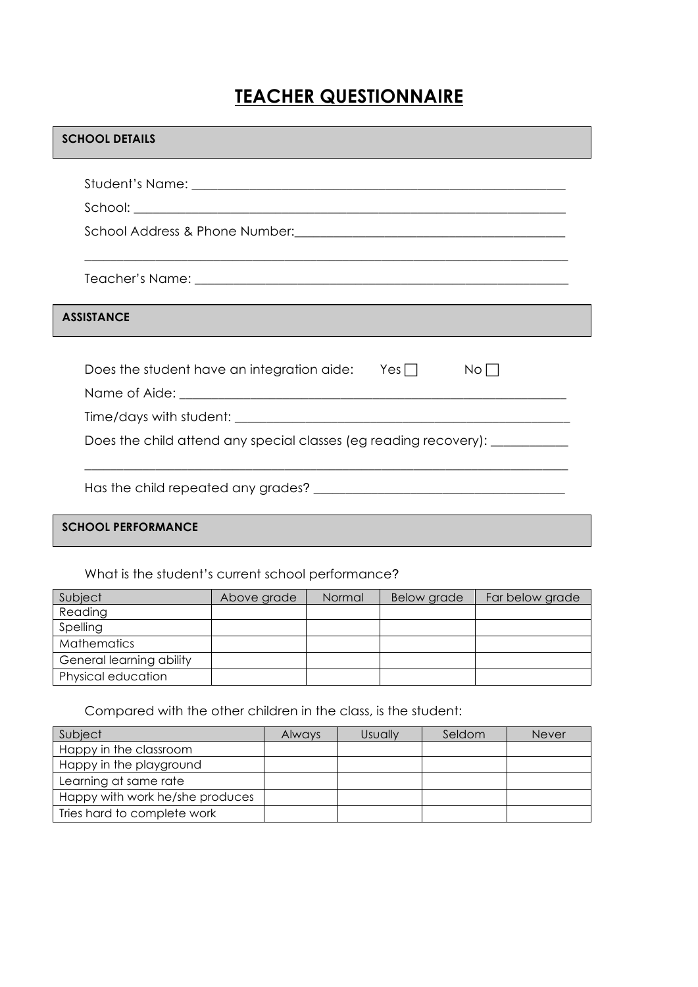# **TEACHER QUESTIONNAIRE**

| <b>SCHOOL DETAILS</b>                                                            |  |  |  |  |
|----------------------------------------------------------------------------------|--|--|--|--|
|                                                                                  |  |  |  |  |
|                                                                                  |  |  |  |  |
|                                                                                  |  |  |  |  |
|                                                                                  |  |  |  |  |
| <b>ASSISTANCE</b>                                                                |  |  |  |  |
|                                                                                  |  |  |  |  |
| Does the student have an integration aide: Yes $\Box$<br>No [                    |  |  |  |  |
|                                                                                  |  |  |  |  |
|                                                                                  |  |  |  |  |
| Does the child attend any special classes (eg reading recovery): _______________ |  |  |  |  |
|                                                                                  |  |  |  |  |
| <b>SCHOOL PERFORMANCE</b>                                                        |  |  |  |  |

## What is the student's current school performance?

| Subject                  | Above grade | Normal | Below grade | Far below grade |
|--------------------------|-------------|--------|-------------|-----------------|
| Reading                  |             |        |             |                 |
| Spelling                 |             |        |             |                 |
| <b>Mathematics</b>       |             |        |             |                 |
| General learning ability |             |        |             |                 |
| Physical education       |             |        |             |                 |

## Compared with the other children in the class, is the student:

| Subject                         | <b>Always</b> | <b>Usually</b> | Seldom | <b>Never</b> |
|---------------------------------|---------------|----------------|--------|--------------|
| Happy in the classroom          |               |                |        |              |
| Happy in the playground         |               |                |        |              |
| Learning at same rate           |               |                |        |              |
| Happy with work he/she produces |               |                |        |              |
| Tries hard to complete work     |               |                |        |              |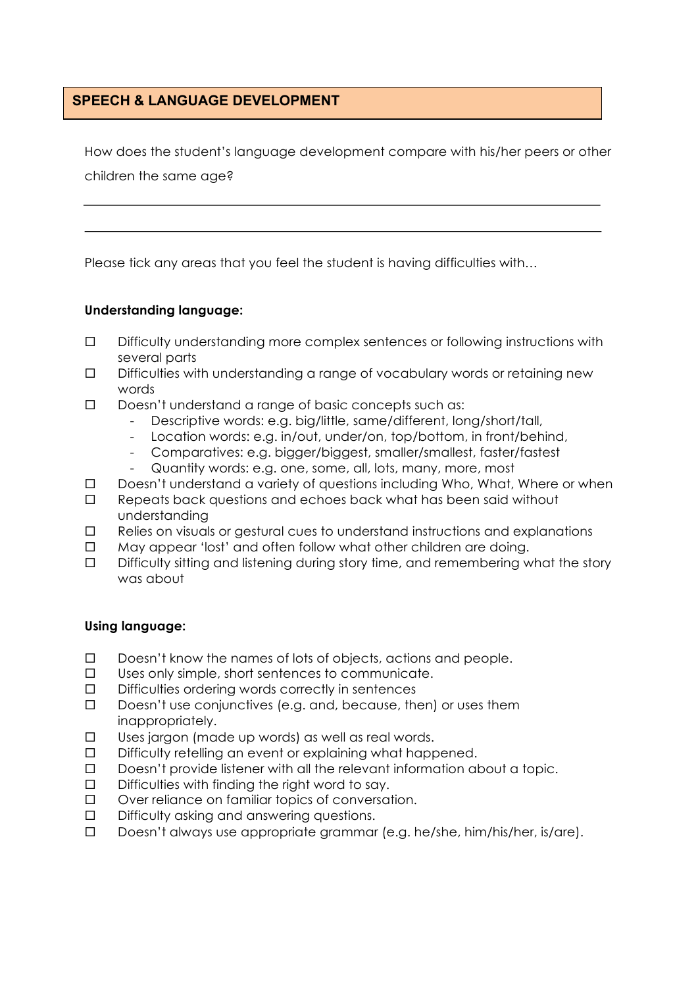## **SPEECH & LANGUAGE DEVELOPMENT**

How does the student's language development compare with his/her peers or other children the same age?

Please tick any areas that you feel the student is having difficulties with…

#### **Understanding language:**

- ¨ Difficulty understanding more complex sentences or following instructions with several parts
- $\square$  Difficulties with understanding a range of vocabulary words or retaining new words
- $\square$  Doesn't understand a range of basic concepts such as:
	- Descriptive words: e.g. big/little, same/different, long/short/tall,
	- Location words: e.g. in/out, under/on, top/bottom, in front/behind,
	- Comparatives: e.g. bigger/biggest, smaller/smallest, faster/fastest
	- Quantity words: e.g. one, some, all, lots, many, more, most
- $\square$  Doesn't understand a variety of questions including Who, What, Where or when
- $\square$  Repeats back questions and echoes back what has been said without understanding
- $\square$  Relies on visuals or gestural cues to understand instructions and explanations
- $\Box$  May appear 'lost' and often follow what other children are doing.
- $\square$  Difficulty sitting and listening during story time, and remembering what the story was about

#### **Using language:**

- $\Box$  Doesn't know the names of lots of objects, actions and people.
- $\Box$  Uses only simple, short sentences to communicate.
- $\square$  Difficulties ordering words correctly in sentences
- $\square$  Doesn't use conjunctives (e.g. and, because, then) or uses them inappropriately.
- $\square$  Uses jargon (made up words) as well as real words.
- $\square$  Difficulty retelling an event or explaining what happened.
- $\Box$  Doesn't provide listener with all the relevant information about a topic.
- $\square$  Difficulties with finding the right word to say.
- $\Box$  Over reliance on familiar topics of conversation.
- $\square$  Difficulty asking and answering questions.
- $\square$  Doesn't always use appropriate grammar (e.g. he/she, him/his/her, is/are).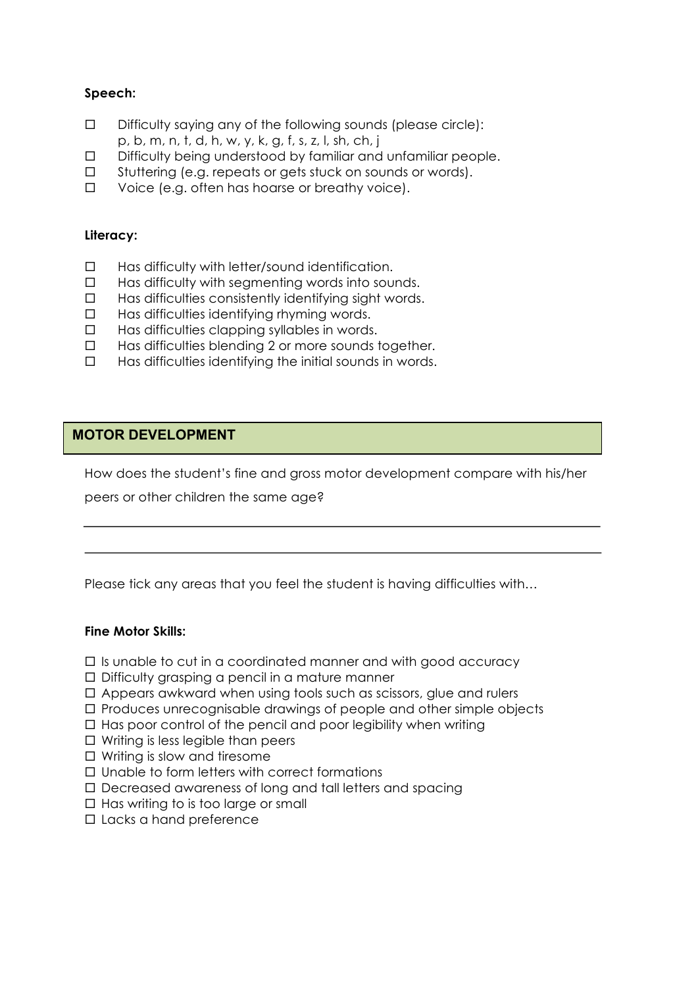## **Speech:**

- $\square$  Difficulty saying any of the following sounds (please circle):
- p, b, m, n, t, d, h, w, y, k, g, f, s, z, l, sh, ch, j
- $\square$  Difficulty being understood by familiar and unfamiliar people.
- $\square$  Stuttering (e.g. repeats or gets stuck on sounds or words).
- $\Box$  Voice (e.g. often has hoarse or breathy voice).

## **Literacy:**

- $\Box$  Has difficulty with letter/sound identification.
- $\Box$  Has difficulty with segmenting words into sounds.
- $\square$  Has difficulties consistently identifying sight words.
- $\square$  Has difficulties identifying rhyming words.
- $\square$  Has difficulties clapping syllables in words.
- $\Box$  Has difficulties blending 2 or more sounds together.
- $\Box$  Has difficulties identifying the initial sounds in words.

## **MOTOR DEVELOPMENT**

How does the student's fine and gross motor development compare with his/her

peers or other children the same age?

Please tick any areas that you feel the student is having difficulties with…

## **Fine Motor Skills:**

 $\square$  Is unable to cut in a coordinated manner and with good accuracy

- $\square$  Difficulty grasping a pencil in a mature manner
- $\square$  Appears awkward when using tools such as scissors, glue and rulers
- $\square$  Produces unrecognisable drawings of people and other simple objects
- $\square$  Has poor control of the pencil and poor legibility when writing
- $\square$  Writing is less legible than peers
- $\square$  Writing is slow and tiresome
- $\square$  Unable to form letters with correct formations
- $\square$  Decreased awareness of long and tall letters and spacing
- $\square$  Has writing to is too large or small
- $\square$  Lacks a hand preference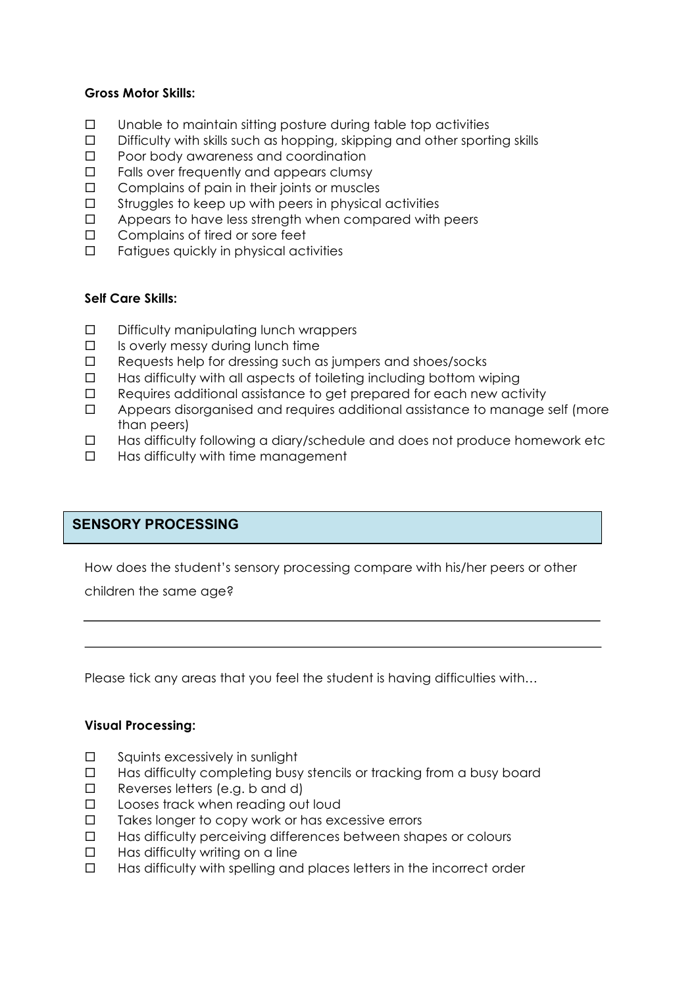#### **Gross Motor Skills:**

- $\square$  Unable to maintain sitting posture during table top activities
- $\square$  Difficulty with skills such as hopping, skipping and other sporting skills
- $\square$  Poor body awareness and coordination
- $\square$  Falls over frequently and appears clumsy
- $\square$  Complains of pain in their joints or muscles
- $\square$  Struggles to keep up with peers in physical activities
- $\square$  Appears to have less strength when compared with peers
- $\square$  Complains of tired or sore feet
- $\Box$  Fatigues quickly in physical activities

#### **Self Care Skills:**

- $\square$  Difficulty manipulating lunch wrappers
- $\square$  Is overly messy during lunch time
- $\square$  Requests help for dressing such as jumpers and shoes/socks
- $\Box$  Has difficulty with all aspects of toileting including bottom wiping
- $\square$  Requires additional assistance to get prepared for each new activity
- $\square$  Appears disorganised and requires additional assistance to manage self (more than peers)
- $\Box$  Has difficulty following a diary/schedule and does not produce homework etc
- $\Box$  Has difficulty with time management

## **SENSORY PROCESSING**

How does the student's sensory processing compare with his/her peers or other

children the same age?

Please tick any areas that you feel the student is having difficulties with…

#### **Visual Processing:**

- $\square$  Squints excessively in sunlight
- $\Box$  Has difficulty completing busy stencils or tracking from a busy board
- $\Box$  Reverses letters (e.g. b and d)
- $\square$  Looses track when reading out loud
- $\Box$  Takes longer to copy work or has excessive errors
- $\Box$  Has difficulty perceiving differences between shapes or colours
- $\Box$  Has difficulty writing on a line
- $\Box$  Has difficulty with spelling and places letters in the incorrect order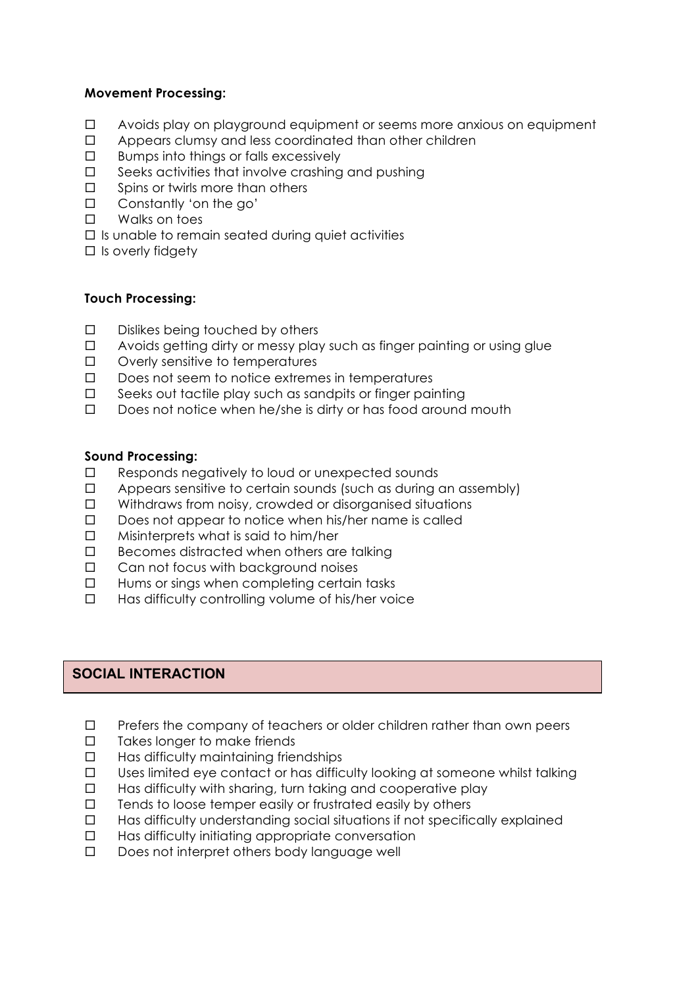#### **Movement Processing:**

- $\square$  Avoids play on playground equipment or seems more anxious on equipment
- $\square$  Appears clumsy and less coordinated than other children
- $\square$  Bumps into things or falls excessively
- $\square$  Seeks activities that involve crashing and pushing
- $\square$  Spins or twirls more than others
- $\square$  Constantly 'on the go'
- $\square$  Walks on toes
- $\square$  Is unable to remain seated during quiet activities
- $\square$  Is overly fidgety

## **Touch Processing:**

- $\square$  Dislikes being touched by others
- $\Box$  Avoids getting dirty or messy play such as finger painting or using glue
- $\square$  Overly sensitive to temperatures
- $\square$  Does not seem to notice extremes in temperatures
- $\square$  Seeks out tactile play such as sandpits or finger painting
- $\square$  Does not notice when he/she is dirty or has food around mouth

## **Sound Processing:**

- $\Box$  Responds negatively to loud or unexpected sounds
- $\Box$  Appears sensitive to certain sounds (such as during an assembly)
- $\square$  Withdraws from noisy, crowded or disorganised situations
- $\square$  Does not appear to notice when his/her name is called
- $\square$  Misinterprets what is said to him/her
- $\square$  Becomes distracted when others are talking
- $\square$  Can not focus with background noises
- $\square$  Hums or sings when completing certain tasks
- $\Box$  Has difficulty controlling volume of his/her voice

## **SOCIAL INTERACTION**

- $\Box$  Prefers the company of teachers or older children rather than own peers
- $\square$  Takes longer to make friends
- $\Box$  Has difficulty maintaining friendships
- $\square$  Uses limited eye contact or has difficulty looking at someone whilst talking
- $\square$  Has difficulty with sharing, turn taking and cooperative play
- $\square$  Tends to loose temper easily or frustrated easily by others
- $\square$  Has difficulty understanding social situations if not specifically explained
- $\square$  Has difficulty initiating appropriate conversation
- $\square$  Does not interpret others body language well